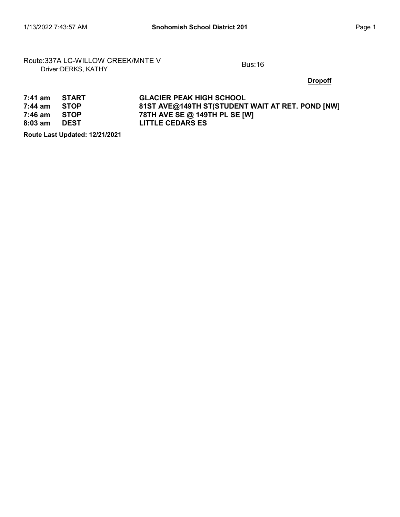# Route:337A LC-WILLOW CREEK/MNTE V<br>Driver:DERKS, KATHY

**Dropoff** 

| $7:41$ am | START       | <b>GLACIER PEAK HIGH SCHOOL</b>                  |
|-----------|-------------|--------------------------------------------------|
| 7:44 am   | <b>STOP</b> | 81ST AVE@149TH ST(STUDENT WAIT AT RET. POND [NW] |
| 7:46 am   | <b>STOP</b> | 78TH AVE SE @ 149TH PL SE [W]                    |
| $8:03$ am | DEST        | <b>LITTLE CEDARS ES</b>                          |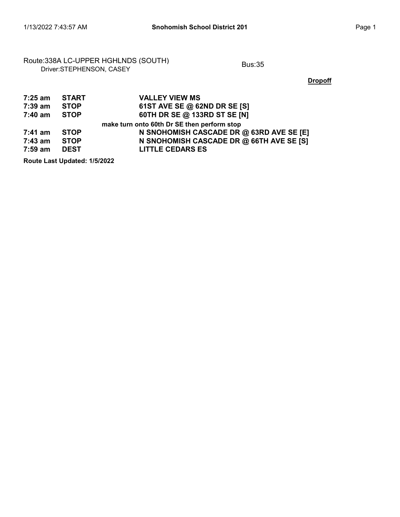## Route:338A LC-UPPER HGHLNDS (SOUTH)<br>Driver:STEPHENSON, CASEY

**Dropoff** 

| 7:25 am | <b>START</b> | <b>VALLEY VIEW MS</b>                       |
|---------|--------------|---------------------------------------------|
| 7:39 am | <b>STOP</b>  | 61ST AVE SE @ 62ND DR SE [S]                |
| 7:40 am | <b>STOP</b>  | 60TH DR SE @ 133RD ST SE [N]                |
|         |              | make turn onto 60th Dr SE then perform stop |
| 7:41 am | <b>STOP</b>  | N SNOHOMISH CASCADE DR @ 63RD AVE SE [E]    |
| 7:43 am | <b>STOP</b>  | N SNOHOMISH CASCADE DR @ 66TH AVE SE [S]    |
| 7:59 am | <b>DEST</b>  | <b>LITTLE CEDARS ES</b>                     |
|         |              |                                             |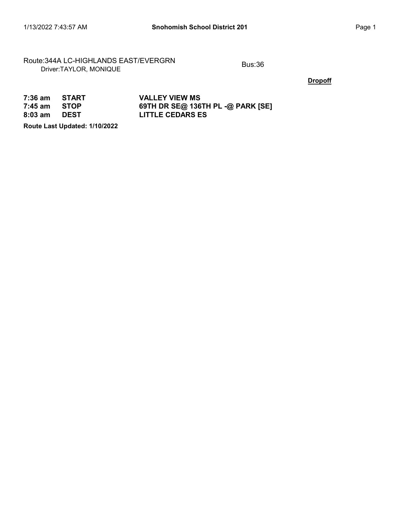### Route:344A LC-HIGHLANDS EAST/EVERGRN<br>Driver:TAYLOR, MONIQUE

**Dropoff** 

| 7:36 am START  |             | <b>VALLEY VIEW MS</b>             |
|----------------|-------------|-----------------------------------|
| $7:45$ am STOP |             | 69TH DR SE@ 136TH PL -@ PARK [SE] |
| 8:03 am        | <b>DEST</b> | <b>LITTLE CEDARS ES</b>           |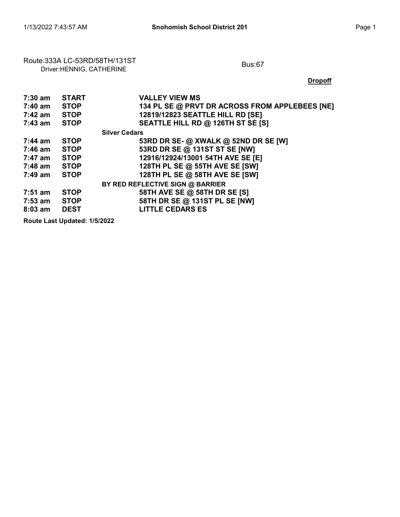# Route:333A LC-53RD/58TH/131ST<br>Driver:HENNIG, CATHERINE

**Dropoff** 

| 7:30 am   | <b>START</b>                 | <b>VALLEY VIEW MS</b>                          |
|-----------|------------------------------|------------------------------------------------|
| 7:40 am   | <b>STOP</b>                  | 134 PL SE @ PRVT DR ACROSS FROM APPLEBEES [NE] |
| 7:42 am   | <b>STOP</b>                  | 12819/12823 SEATTLE HILL RD [SE]               |
| $7:43$ am | <b>STOP</b>                  | SEATTLE HILL RD @ 126TH ST SE [S]              |
|           |                              | <b>Silver Cedars</b>                           |
| 7:44 am   | <b>STOP</b>                  | 53RD DR SE- @ XWALK @ 52ND DR SE [W]           |
| 7:46 am   | <b>STOP</b>                  | 53RD DR SE @ 131ST ST SE [NW]                  |
| 7:47 am   | <b>STOP</b>                  | 12916/12924/13001 54TH AVE SE [E]              |
| 7:48 am   | <b>STOP</b>                  | 128TH PL SE @ 55TH AVE SE [SW]                 |
| 7:49 am   | <b>STOP</b>                  | 128TH PL SE @ 58TH AVE SE [SW]                 |
|           |                              | BY RED REFLECTIVE SIGN @ BARRIER               |
| $7:51$ am | <b>STOP</b>                  | 58TH AVE SE @ 58TH DR SE [S]                   |
| 7:53 am   | <b>STOP</b>                  | 58TH DR SE @ 131ST PL SE [NW]                  |
| $8:03$ am | <b>DEST</b>                  | <b>LITTLE CEDARS ES</b>                        |
|           | Deute Leet Undeted: 4/5/0000 |                                                |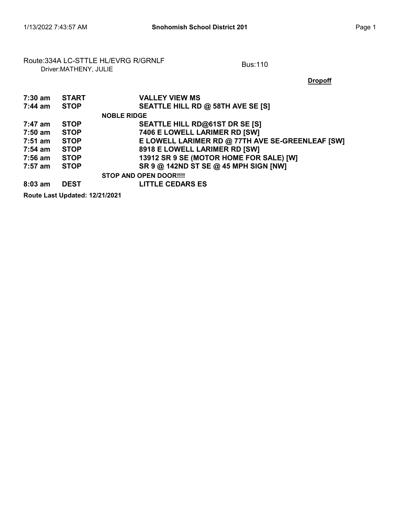# Route:334A LC-STTLE HL/EVRG R/GRNLF<br>Driver:MATHENY, JULIE

#### **Dropoff**

| 7:30 am   | <b>START</b> | <b>VALLEY VIEW MS</b>                            |
|-----------|--------------|--------------------------------------------------|
| 7:44 am   | <b>STOP</b>  | SEATTLE HILL RD @ 58TH AVE SE [S]                |
|           |              | <b>NOBLE RIDGE</b>                               |
| 7:47 am   | <b>STOP</b>  | SEATTLE HILL RD@61ST DR SE [S]                   |
| 7:50 am   | <b>STOP</b>  | 7406 E LOWELL LARIMER RD [SW]                    |
| 7:51 am   | <b>STOP</b>  | E LOWELL LARIMER RD @ 77TH AVE SE-GREENLEAF [SW] |
| 7:54 am   | <b>STOP</b>  | 8918 E LOWELL LARIMER RD [SW]                    |
| 7:56 am   | <b>STOP</b>  | 13912 SR 9 SE (MOTOR HOME FOR SALE) [W]          |
| 7:57 am   | <b>STOP</b>  | SR 9 @ 142ND ST SE @ 45 MPH SIGN [NW]            |
|           |              | <b>STOP AND OPEN DOOR!!!!</b>                    |
| $8:03$ am | <b>DEST</b>  | <b>LITTLE CEDARS ES</b>                          |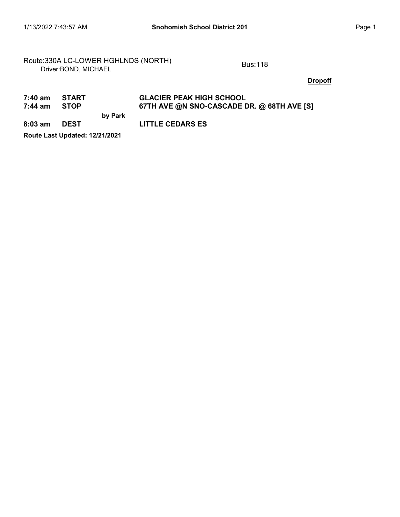### Route:330A LC-LOWER HGHLNDS (NORTH)<br>Driver:BOND, MICHAEL

#### **Dropoff**

#### 7:40 am START GLACIER PEAK HIGH SCHOOL<br>7:44 am STOP 67TH AVE @N SNO-CASCADE D by Park 67TH AVE @N SNO-CASCADE DR. @ 68TH AVE [S] 8:03 am DEST LITTLE CEDARS ES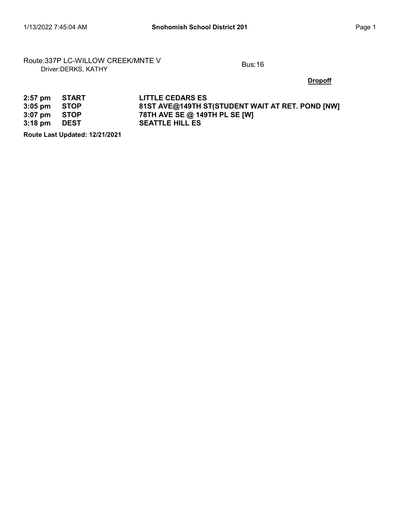# Route:337P LC-WILLOW CREEK/MNTE V<br>Driver:DERKS, KATHY

**Dropoff** 

| 2:57 pm START          | <b>LITTLE CEDARS ES</b>                          |
|------------------------|--------------------------------------------------|
| $3:05 \text{ pm}$ STOP | 81ST AVE@149TH ST(STUDENT WAIT AT RET. POND [NW] |
| 3:07 pm STOP           | 78TH AVE SE @ 149TH PL SE [W]                    |
| 3:18 pm DEST           | <b>SEATTLE HILL ES</b>                           |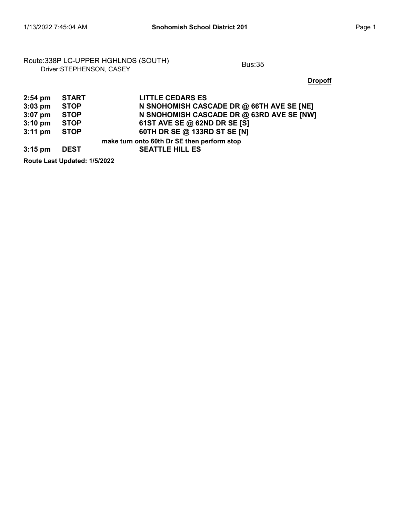## Route:338P LC-UPPER HGHLNDS (SOUTH)<br>Driver:STEPHENSON, CASEY

**Dropoff** 

| $2:54$ pm         | <b>START</b> | <b>LITTLE CEDARS ES</b>                     |
|-------------------|--------------|---------------------------------------------|
| $3:03$ pm         | <b>STOP</b>  | N SNOHOMISH CASCADE DR @ 66TH AVE SE [NE]   |
| $3:07$ pm         | <b>STOP</b>  | N SNOHOMISH CASCADE DR @ 63RD AVE SE [NW]   |
| $3:10 \text{ pm}$ | <b>STOP</b>  | 61ST AVE SE @ 62ND DR SE [S]                |
| $3:11$ pm         | <b>STOP</b>  | 60TH DR SE @ 133RD ST SE [N]                |
|                   |              | make turn onto 60th Dr SE then perform stop |
| $3:15$ pm         | <b>DEST</b>  | <b>SEATTLE HILL ES</b>                      |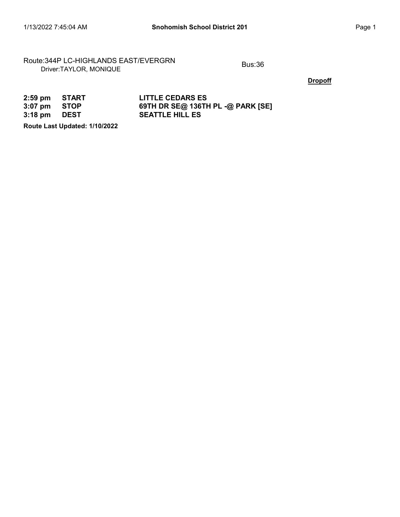### Route:344P LC-HIGHLANDS EAST/EVERGRN<br>Driver:TAYLOR, MONIQUE

**Dropoff** 

| 2:59 pm START          | <b>LITTLE CEDARS ES</b>           |
|------------------------|-----------------------------------|
| $3:07 \text{ pm}$ STOP | 69TH DR SE@ 136TH PL -@ PARK [SE] |
| 3:18 pm DEST           | <b>SEATTLE HILL ES</b>            |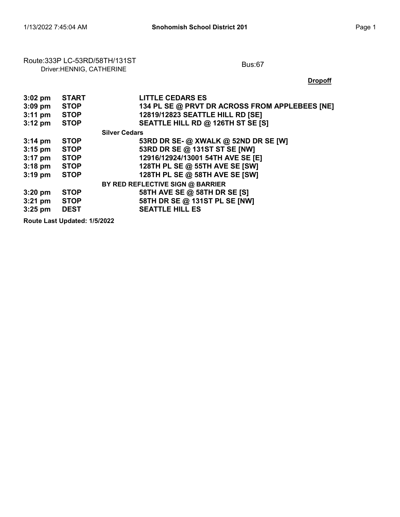# Route:333P LC-53RD/58TH/131ST<br>Driver:HENNIG, CATHERINE

**Dropoff** 

| $3:02$ pm         | <b>START</b>                 | <b>LITTLE CEDARS ES</b>                        |
|-------------------|------------------------------|------------------------------------------------|
| $3:09$ pm         | <b>STOP</b>                  | 134 PL SE @ PRVT DR ACROSS FROM APPLEBEES [NE] |
| $3:11 \text{ pm}$ | <b>STOP</b>                  | 12819/12823 SEATTLE HILL RD [SE]               |
| $3:12 \text{ pm}$ | <b>STOP</b>                  | SEATTLE HILL RD @ 126TH ST SE [S]              |
|                   |                              | <b>Silver Cedars</b>                           |
| $3:14 \text{ pm}$ | <b>STOP</b>                  | 53RD DR SE- @ XWALK @ 52ND DR SE [W]           |
| $3:15$ pm         | <b>STOP</b>                  | 53RD DR SE @ 131ST ST SE [NW]                  |
| $3:17$ pm         | <b>STOP</b>                  | 12916/12924/13001 54TH AVE SE [E]              |
| $3:18$ pm         | <b>STOP</b>                  | 128TH PL SE @ 55TH AVE SE [SW]                 |
| $3:19$ pm         | <b>STOP</b>                  | 128TH PL SE @ 58TH AVE SE [SW]                 |
|                   |                              | BY RED REFLECTIVE SIGN @ BARRIER               |
| $3:20$ pm         | <b>STOP</b>                  | 58TH AVE SE @ 58TH DR SE [S]                   |
| $3:21$ pm         | <b>STOP</b>                  | 58TH DR SE @ 131ST PL SE [NW]                  |
| $3:25$ pm         | <b>DEST</b>                  | <b>SEATTLE HILL ES</b>                         |
|                   | Dental and Hudstad, 41510000 |                                                |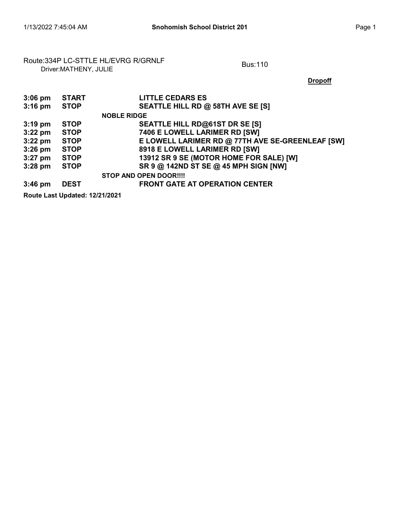# Route:334P LC-STTLE HL/EVRG R/GRNLF<br>Driver:MATHENY, JULIE

### **Dropoff**

| $3:06$ pm | <b>START</b> | <b>LITTLE CEDARS ES</b>                          |
|-----------|--------------|--------------------------------------------------|
| $3:16$ pm | <b>STOP</b>  | SEATTLE HILL RD @ 58TH AVE SE [S]                |
|           |              | <b>NOBLE RIDGE</b>                               |
| $3:19$ pm | <b>STOP</b>  | SEATTLE HILL RD@61ST DR SE [S]                   |
| $3:22$ pm | <b>STOP</b>  | 7406 E LOWELL LARIMER RD [SW]                    |
| $3:22$ pm | <b>STOP</b>  | E LOWELL LARIMER RD @ 77TH AVE SE-GREENLEAF [SW] |
| $3:26$ pm | <b>STOP</b>  | 8918 E LOWELL LARIMER RD [SW]                    |
| $3:27$ pm | <b>STOP</b>  | 13912 SR 9 SE (MOTOR HOME FOR SALE) [W]          |
| $3:28$ pm | <b>STOP</b>  | SR 9 @ 142ND ST SE @ 45 MPH SIGN [NW]            |
|           |              | <b>STOP AND OPEN DOOR!!!!</b>                    |
| $3:46$ pm | <b>DEST</b>  | <b>FRONT GATE AT OPERATION CENTER</b>            |
|           |              |                                                  |